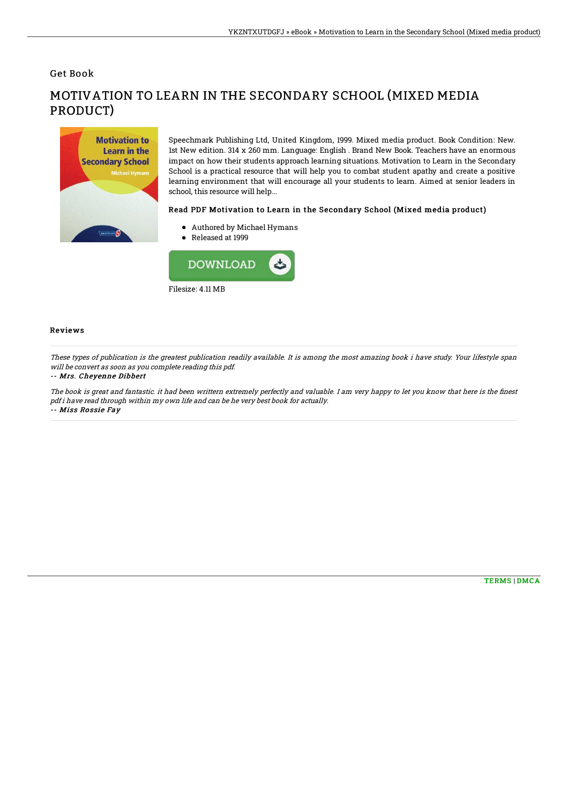Get Book



# MOTIVATION TO LEARN IN THE SECONDARY SCHOOL (MIXED MEDIA PRODUCT)

Speechmark Publishing Ltd, United Kingdom, 1999. Mixed media product. Book Condition: New. 1st New edition. 314 x 260 mm. Language: English . Brand New Book. Teachers have an enormous impact on how their students approach learning situations. Motivation to Learn in the Secondary School is a practical resource that will help you to combat student apathy and create a positive learning environment that will encourage all your students to learn. Aimed at senior leaders in school, this resource will help...

### Read PDF Motivation to Learn in the Secondary School (Mixed media product)

- Authored by Michael Hymans
- Released at 1999



## Reviews

These types of publication is the greatest publication readily available. It is among the most amazing book i have study. Your lifestyle span will be convert as soon as you complete reading this pdf.

#### -- Mrs. Cheyenne Dibbert

The book is great and fantastic. it had been writtern extremely perfectly and valuable. I am very happy to let you know that here is the finest pdf i have read through within my own life and can be he very best book for actually. -- Miss Rossie Fay